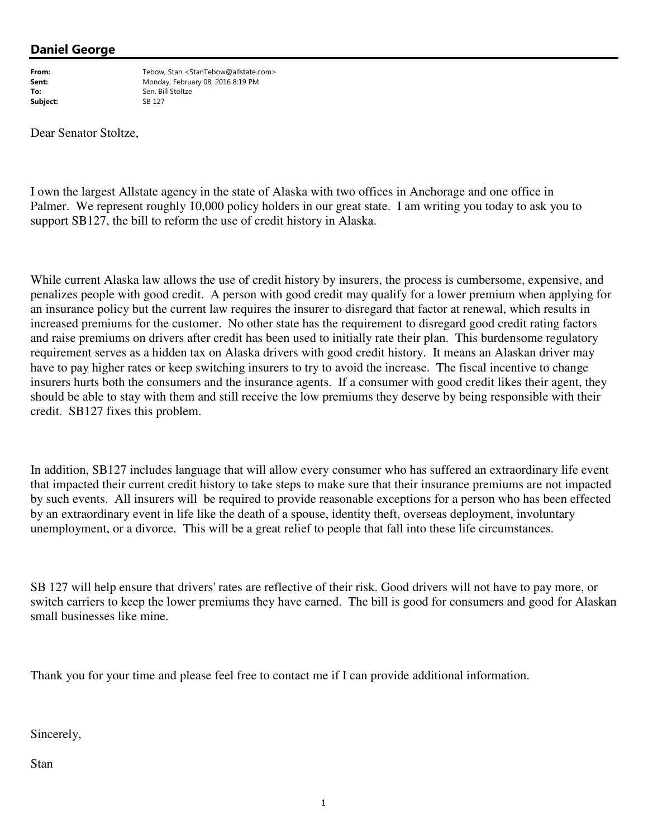## Daniel George

Subiect:

From: Tebow, Stan <StanTebow@allstate.com> Sent: Monday, February 08, 2016 8:19 PM **To:** Sen. Bill Stoltze<br>
Subject: Sanction SR 127

Dear Senator Stoltze,

I own the largest Allstate agency in the state of Alaska with two offices in Anchorage and one office in Palmer. We represent roughly 10,000 policy holders in our great state. I am writing you today to ask you to support SB127, the bill to reform the use of credit history in Alaska.

While current Alaska law allows the use of credit history by insurers, the process is cumbersome, expensive, and penalizes people with good credit. A person with good credit may qualify for a lower premium when applying for an insurance policy but the current law requires the insurer to disregard that factor at renewal, which results in increased premiums for the customer. No other state has the requirement to disregard good credit rating factors and raise premiums on drivers after credit has been used to initially rate their plan. This burdensome regulatory requirement serves as a hidden tax on Alaska drivers with good credit history. It means an Alaskan driver may have to pay higher rates or keep switching insurers to try to avoid the increase. The fiscal incentive to change insurers hurts both the consumers and the insurance agents. If a consumer with good credit likes their agent, they should be able to stay with them and still receive the low premiums they deserve by being responsible with their credit. SB127 fixes this problem.

In addition, SB127 includes language that will allow every consumer who has suffered an extraordinary life event that impacted their current credit history to take steps to make sure that their insurance premiums are not impacted by such events. All insurers will be required to provide reasonable exceptions for a person who has been effected by an extraordinary event in life like the death of a spouse, identity theft, overseas deployment, involuntary unemployment, or a divorce. This will be a great relief to people that fall into these life circumstances.

SB 127 will help ensure that drivers' rates are reflective of their risk. Good drivers will not have to pay more, or switch carriers to keep the lower premiums they have earned. The bill is good for consumers and good for Alaskan small businesses like mine.

Thank you for your time and please feel free to contact me if I can provide additional information.

Sincerely,

Stan